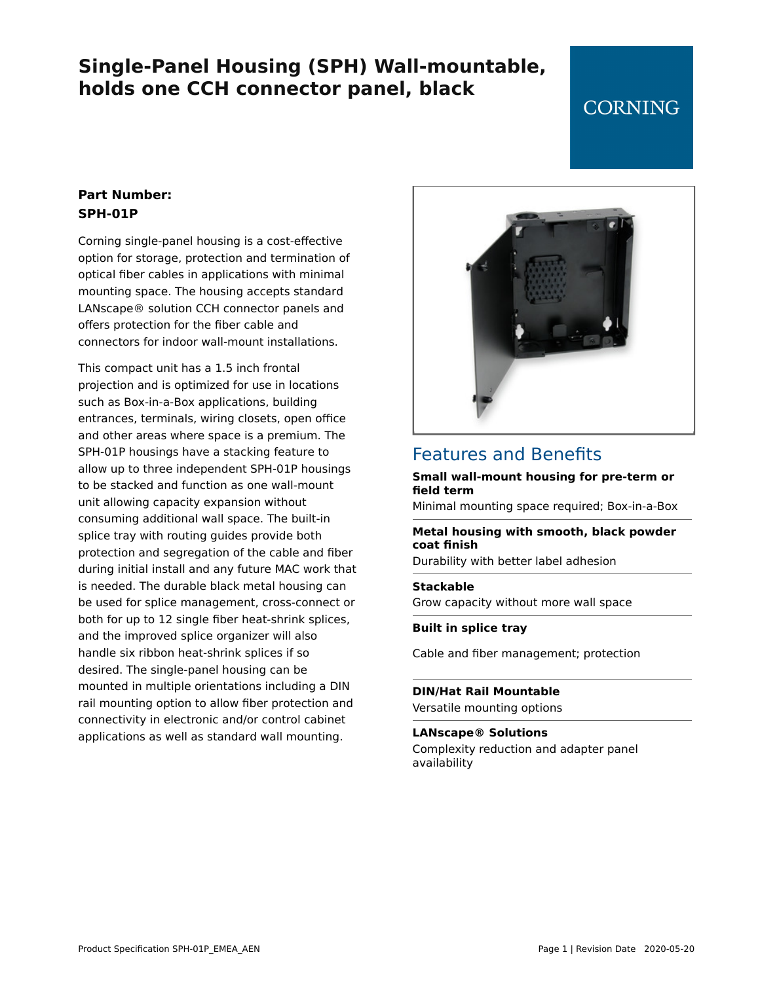# **Single-Panel Housing (SPH) Wall-mountable, holds one CCH connector panel, black**

# **CORNING**

### **Part Number: SPH-01P**

Corning single-panel housing is a cost-effective option for storage, protection and termination of optical fiber cables in applications with minimal mounting space. The housing accepts standard LANscape® solution CCH connector panels and offers protection for the fiber cable and connectors for indoor wall-mount installations.

This compact unit has a 1.5 inch frontal projection and is optimized for use in locations such as Box-in-a-Box applications, building entrances, terminals, wiring closets, open office and other areas where space is a premium. The SPH-01P housings have a stacking feature to allow up to three independent SPH-01P housings to be stacked and function as one wall-mount unit allowing capacity expansion without consuming additional wall space. The built-in splice tray with routing guides provide both protection and segregation of the cable and fiber during initial install and any future MAC work that is needed. The durable black metal housing can be used for splice management, cross-connect or both for up to 12 single fiber heat-shrink splices, and the improved splice organizer will also handle six ribbon heat-shrink splices if so desired. The single-panel housing can be mounted in multiple orientations including a DIN rail mounting option to allow fiber protection and connectivity in electronic and/or control cabinet applications as well as standard wall mounting.



### Features and Benefits

#### **Small wall-mount housing for pre-term or field term**

Minimal mounting space required; Box-in-a-Box

#### **Metal housing with smooth, black powder coat finish**

Durability with better label adhesion

#### **Stackable**

Grow capacity without more wall space

#### **Built in splice tray**

Cable and fiber management; protection

**DIN/Hat Rail Mountable** Versatile mounting options

#### **LANscape® Solutions** Complexity reduction and adapter panel availability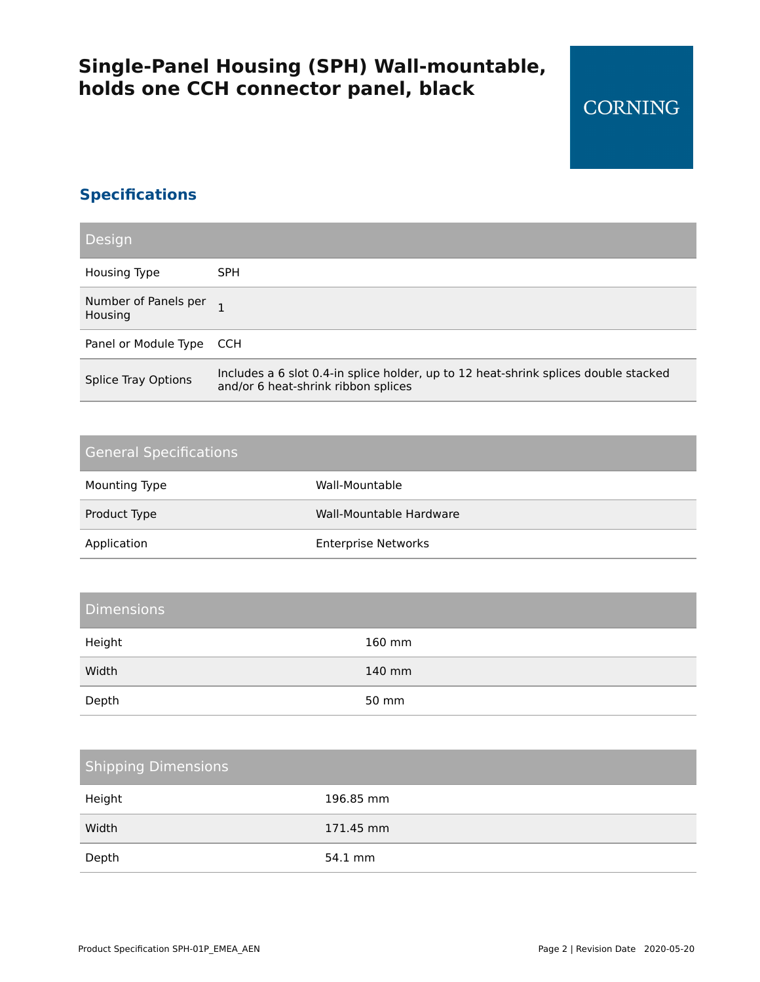# **Single-Panel Housing (SPH) Wall-mountable, holds one CCH connector panel, black**

### **Specifications**

| Design                          |                                                                                                                            |
|---------------------------------|----------------------------------------------------------------------------------------------------------------------------|
| Housing Type                    | <b>SPH</b>                                                                                                                 |
| Number of Panels per<br>Housing |                                                                                                                            |
| Panel or Module Type CCH        |                                                                                                                            |
| <b>Splice Tray Options</b>      | Includes a 6 slot 0.4-in splice holder, up to 12 heat-shrink splices double stacked<br>and/or 6 heat-shrink ribbon splices |

### General Specifications

| Mounting Type | Wall-Mountable             |
|---------------|----------------------------|
| Product Type  | Wall-Mountable Hardware    |
| Application   | <b>Enterprise Networks</b> |

### **Dimensions**

| Height | 160 mm |
|--------|--------|
| Width  | 140 mm |
| Depth  | 50 mm  |

# Shipping Dimensions Height 196.85 mm Width 171.45 mm Depth 54.1 mm

**CORNING**